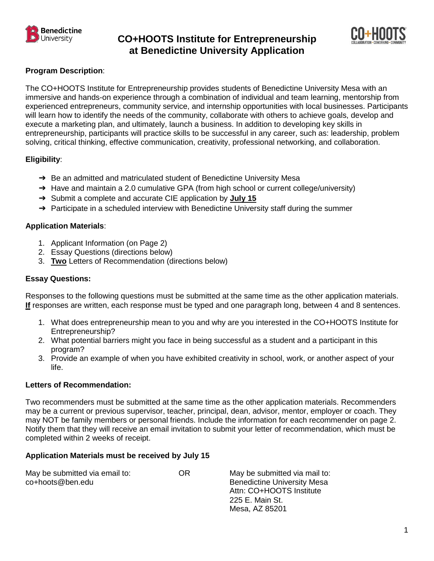

# **CO+HOOTS Institute for Entrepreneurship at Benedictine University Application**



## **Program Description**:

The CO+HOOTS Institute for Entrepreneurship provides students of Benedictine University Mesa with an immersive and hands-on experience through a combination of individual and team learning, mentorship from experienced entrepreneurs, community service, and internship opportunities with local businesses. Participants will learn how to identify the needs of the community, collaborate with others to achieve goals, develop and execute a marketing plan, and ultimately, launch a business. In addition to developing key skills in entrepreneurship, participants will practice skills to be successful in any career, such as: leadership, problem solving, critical thinking, effective communication, creativity, professional networking, and collaboration.

## **Eligibility**:

- → Be an admitted and matriculated student of Benedictine University Mesa
- ➔ Have and maintain a 2.0 cumulative GPA (from high school or current college/university)
- ➔ Submit a complete and accurate CIE application by **July 15**
- → Participate in a scheduled interview with Benedictine University staff during the summer

## **Application Materials**:

- 1. Applicant Information (on Page 2)
- 2. Essay Questions (directions below)
- 3. **Two** Letters of Recommendation (directions below)

## **Essay Questions:**

Responses to the following questions must be submitted at the same time as the other application materials. **If** responses are written, each response must be typed and one paragraph long, between 4 and 8 sentences.

- 1. What does entrepreneurship mean to you and why are you interested in the CO+HOOTS Institute for Entrepreneurship?
- 2. What potential barriers might you face in being successful as a student and a participant in this program?
- 3. Provide an example of when you have exhibited creativity in school, work, or another aspect of your life.

## **Letters of Recommendation:**

Two recommenders must be submitted at the same time as the other application materials. Recommenders may be a current or previous supervisor, teacher, principal, dean, advisor, mentor, employer or coach. They may NOT be family members or personal friends. Include the information for each recommender on page 2. Notify them that they will receive an email invitation to submit your letter of recommendation, which must be completed within 2 weeks of receipt.

## **Application Materials must be received by July 15**

| May be submitted via email to: | OR |
|--------------------------------|----|
| co+hoots@ben.edu               |    |

May be submitted via mail to: Benedictine University Mesa Attn: CO+HOOTS Institute 225 E. Main St. Mesa, AZ 85201